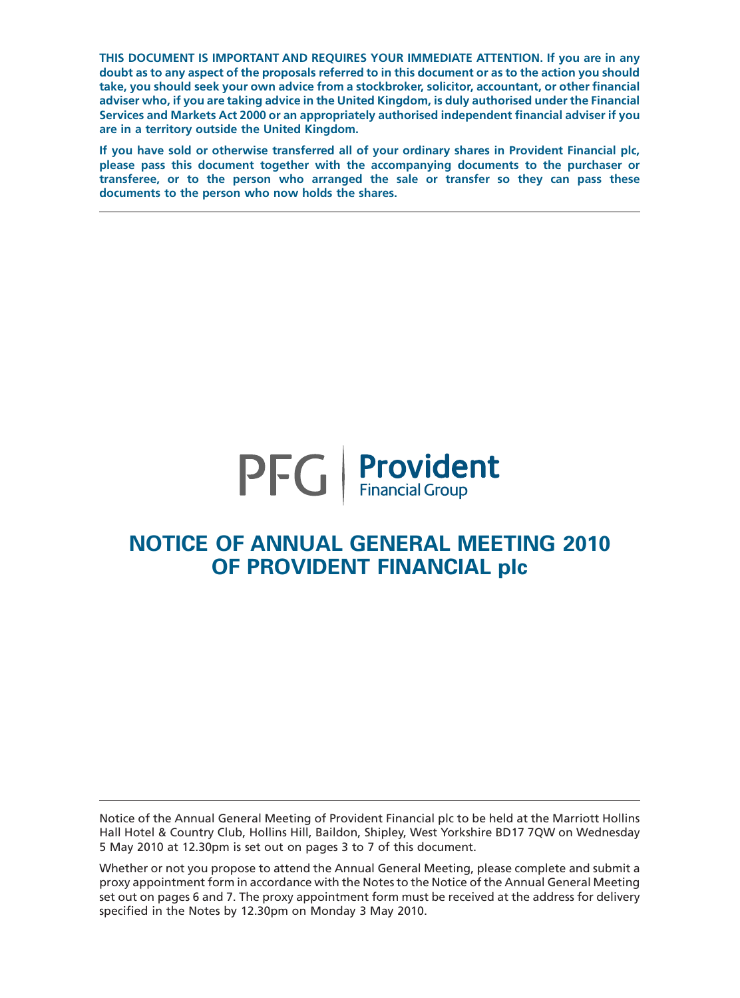**THIS DOCUMENT IS IMPORTANT AND REQUIRES YOUR IMMEDIATE ATTENTION. If you are in any doubt as to any aspect of the proposals referred to in this document or as to the action you should take, you should seek your own advice from a stockbroker, solicitor, accountant, or other financial adviser who, if you are taking advice in the United Kingdom, is duly authorised under the Financial Services and Markets Act 2000 or an appropriately authorised independent financial adviser if you are in a territory outside the United Kingdom.**

**If you have sold or otherwise transferred all of your ordinary shares in Provident Financial plc, please pass this document together with the accompanying documents to the purchaser or transferee, or to the person who arranged the sale or transfer so they can pass these documents to the person who now holds the shares.**

# PFG | Provident

# **NOTICE OF ANNUAL GENERAL MEETING 2010 OF PROVIDENT FINANCIAL plc**

Notice of the Annual General Meeting of Provident Financial plc to be held at the Marriott Hollins Hall Hotel & Country Club, Hollins Hill, Baildon, Shipley, West Yorkshire BD17 7QW on Wednesday 5 May 2010 at 12.30pm is set out on pages 3 to 7 of this document.

Whether or not you propose to attend the Annual General Meeting, please complete and submit a proxy appointment form in accordance with the Notes to the Notice of the Annual General Meeting set out on pages 6 and 7. The proxy appointment form must be received at the address for delivery specified in the Notes by 12.30pm on Monday 3 May 2010.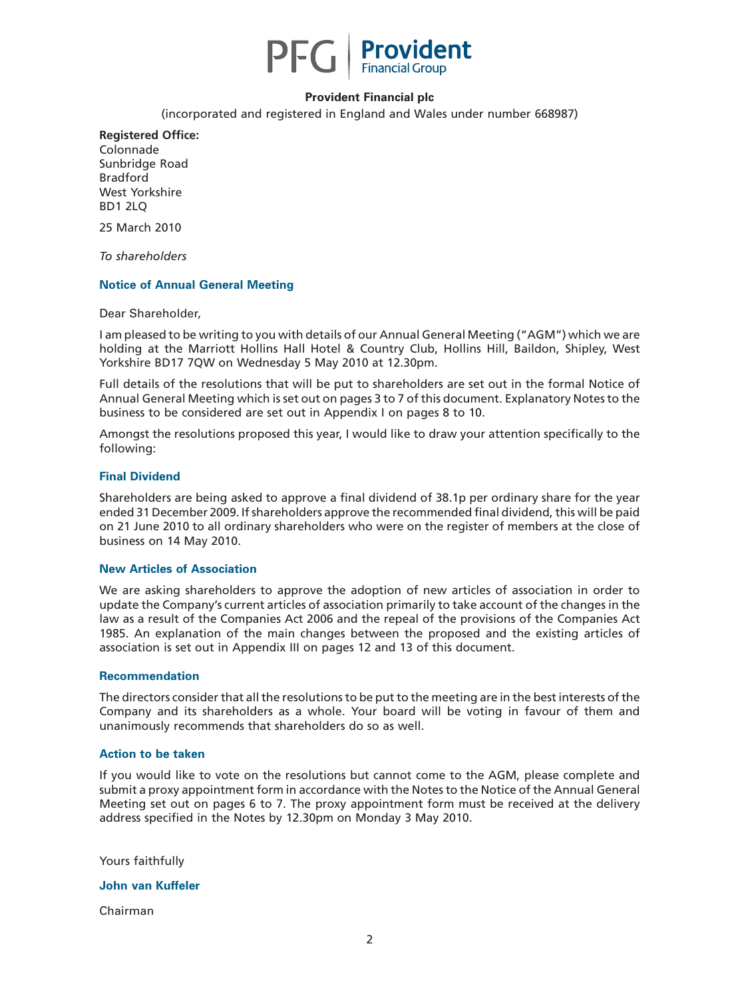

# **Provident Financial plc**

(incorporated and registered in England and Wales under number 668987)

**Registered Office:** Colonnade Sunbridge Road Bradford West Yorkshire BD1 2LQ

25 March 2010

*To shareholders*

# **Notice of Annual General Meeting**

Dear Shareholder,

I am pleased to be writing to you with details of our Annual General Meeting ("AGM") which we are holding at the Marriott Hollins Hall Hotel & Country Club, Hollins Hill, Baildon, Shipley, West Yorkshire BD17 7QW on Wednesday 5 May 2010 at 12.30pm.

Full details of the resolutions that will be put to shareholders are set out in the formal Notice of Annual General Meeting which is set out on pages 3 to 7 of this document. Explanatory Notes to the business to be considered are set out in Appendix I on pages 8 to 10.

Amongst the resolutions proposed this year, I would like to draw your attention specifically to the following:

# **Final Dividend**

Shareholders are being asked to approve a final dividend of 38.1p per ordinary share for the year ended 31 December 2009. If shareholders approve the recommended final dividend, this will be paid on 21 June 2010 to all ordinary shareholders who were on the register of members at the close of business on 14 May 2010.

# **New Articles of Association**

We are asking shareholders to approve the adoption of new articles of association in order to update the Company's current articles of association primarily to take account of the changes in the law as a result of the Companies Act 2006 and the repeal of the provisions of the Companies Act 1985. An explanation of the main changes between the proposed and the existing articles of association is set out in Appendix III on pages 12 and 13 of this document.

#### **Recommendation**

The directors consider that all the resolutions to be put to the meeting are in the best interests of the Company and its shareholders as a whole. Your board will be voting in favour of them and unanimously recommends that shareholders do so as well.

# **Action to be taken**

If you would like to vote on the resolutions but cannot come to the AGM, please complete and submit a proxy appointment form in accordance with the Notes to the Notice of the Annual General Meeting set out on pages 6 to 7. The proxy appointment form must be received at the delivery address specified in the Notes by 12.30pm on Monday 3 May 2010.

Yours faithfully

#### **John van Kuffeler**

Chairman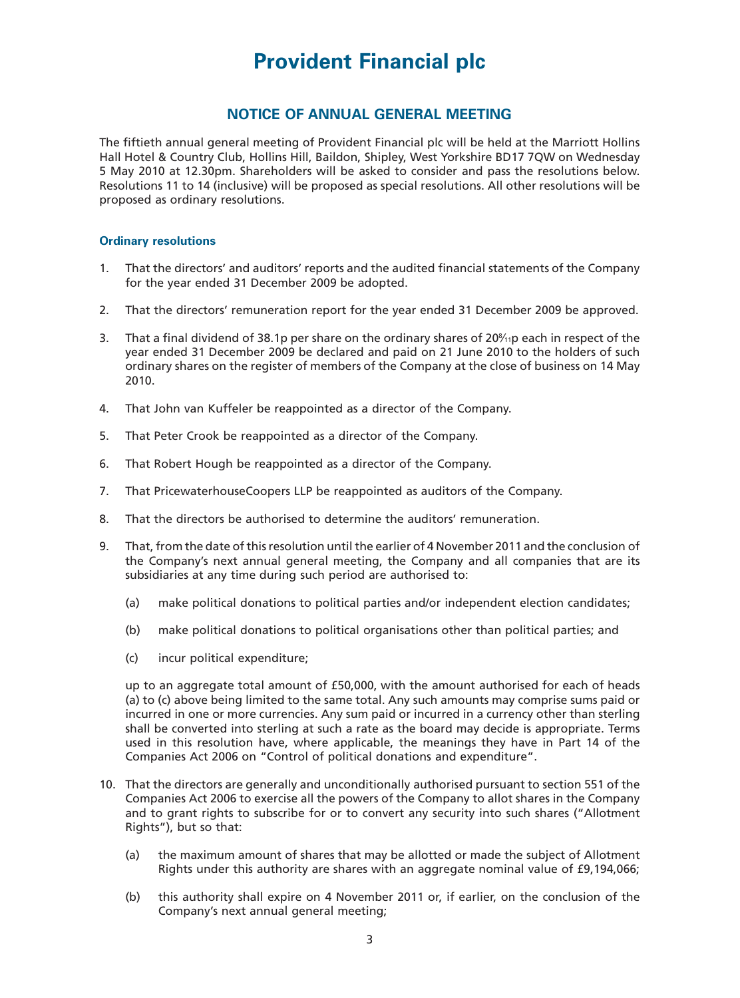# **Provident Financial plc**

# **NOTICE OF ANNUAL GENERAL MEETING**

The fiftieth annual general meeting of Provident Financial plc will be held at the Marriott Hollins Hall Hotel & Country Club, Hollins Hill, Baildon, Shipley, West Yorkshire BD17 7QW on Wednesday 5 May 2010 at 12.30pm. Shareholders will be asked to consider and pass the resolutions below. Resolutions 11 to 14 (inclusive) will be proposed as special resolutions. All other resolutions will be proposed as ordinary resolutions.

# **Ordinary resolutions**

- 1. That the directors' and auditors' reports and the audited financial statements of the Company for the year ended 31 December 2009 be adopted.
- 2. That the directors' remuneration report for the year ended 31 December 2009 be approved.
- 3. That a final dividend of 38.1p per share on the ordinary shares of 20 $\frac{8}{11}$ p each in respect of the year ended 31 December 2009 be declared and paid on 21 June 2010 to the holders of such ordinary shares on the register of members of the Company at the close of business on 14 May 2010.
- 4. That John van Kuffeler be reappointed as a director of the Company.
- 5. That Peter Crook be reappointed as a director of the Company.
- 6. That Robert Hough be reappointed as a director of the Company.
- 7. That PricewaterhouseCoopers LLP be reappointed as auditors of the Company.
- 8. That the directors be authorised to determine the auditors' remuneration.
- 9. That, from the date of this resolution until the earlier of 4 November 2011 and the conclusion of the Company's next annual general meeting, the Company and all companies that are its subsidiaries at any time during such period are authorised to:
	- (a) make political donations to political parties and/or independent election candidates;
	- (b) make political donations to political organisations other than political parties; and
	- (c) incur political expenditure;

up to an aggregate total amount of £50,000, with the amount authorised for each of heads (a) to (c) above being limited to the same total. Any such amounts may comprise sums paid or incurred in one or more currencies. Any sum paid or incurred in a currency other than sterling shall be converted into sterling at such a rate as the board may decide is appropriate. Terms used in this resolution have, where applicable, the meanings they have in Part 14 of the Companies Act 2006 on "Control of political donations and expenditure".

- 10. That the directors are generally and unconditionally authorised pursuant to section 551 of the Companies Act 2006 to exercise all the powers of the Company to allot shares in the Company and to grant rights to subscribe for or to convert any security into such shares ("Allotment Rights"), but so that:
	- (a) the maximum amount of shares that may be allotted or made the subject of Allotment Rights under this authority are shares with an aggregate nominal value of £9,194,066;
	- (b) this authority shall expire on 4 November 2011 or, if earlier, on the conclusion of the Company's next annual general meeting;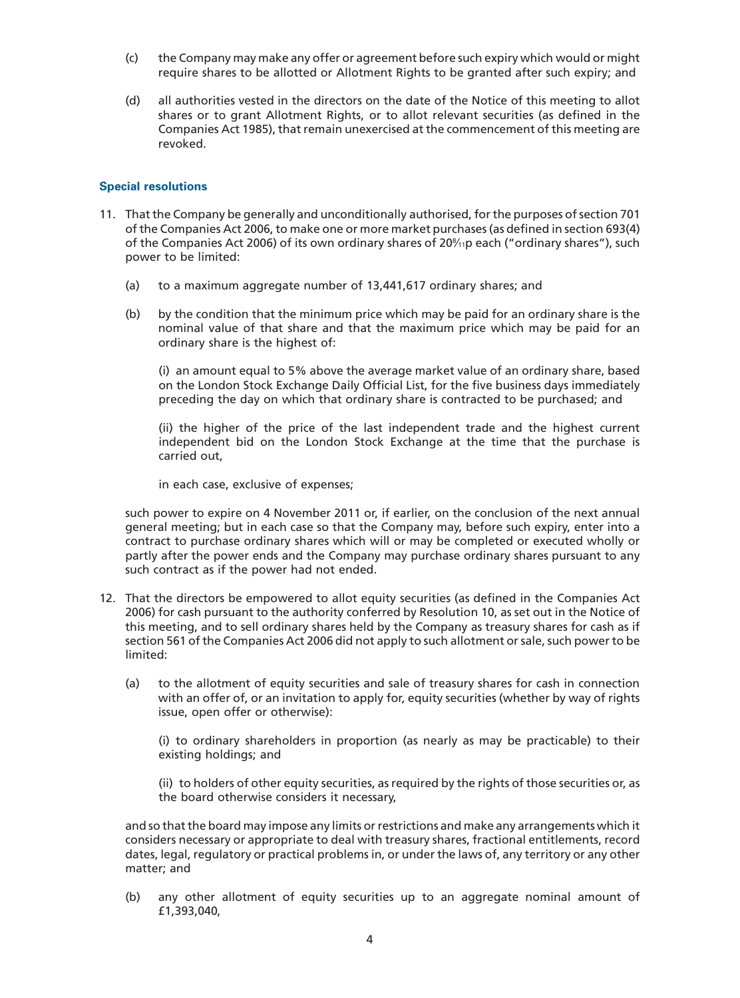- (c) the Company may make any offer or agreement before such expiry which would or might require shares to be allotted or Allotment Rights to be granted after such expiry; and
- (d) all authorities vested in the directors on the date of the Notice of this meeting to allot shares or to grant Allotment Rights, or to allot relevant securities (as defined in the Companies Act 1985), that remain unexercised at the commencement of this meeting are revoked.

# **Special resolutions**

- 11. That the Company be generally and unconditionally authorised, for the purposes of section 701 of the Companies Act 2006, to make one or more market purchases (as defined in section 693(4) of the Companies Act 2006) of its own ordinary shares of 208 ⁄11p each ("ordinary shares"), such power to be limited:
	- (a) to a maximum aggregate number of 13,441,617 ordinary shares; and
	- (b) by the condition that the minimum price which may be paid for an ordinary share is the nominal value of that share and that the maximum price which may be paid for an ordinary share is the highest of:

(i) an amount equal to 5% above the average market value of an ordinary share, based on the London Stock Exchange Daily Official List, for the five business days immediately preceding the day on which that ordinary share is contracted to be purchased; and

(ii) the higher of the price of the last independent trade and the highest current independent bid on the London Stock Exchange at the time that the purchase is carried out,

in each case, exclusive of expenses;

such power to expire on 4 November 2011 or, if earlier, on the conclusion of the next annual general meeting; but in each case so that the Company may, before such expiry, enter into a contract to purchase ordinary shares which will or may be completed or executed wholly or partly after the power ends and the Company may purchase ordinary shares pursuant to any such contract as if the power had not ended.

- 12. That the directors be empowered to allot equity securities (as defined in the Companies Act 2006) for cash pursuant to the authority conferred by Resolution 10, as set out in the Notice of this meeting, and to sell ordinary shares held by the Company as treasury shares for cash as if section 561 of the Companies Act 2006 did not apply to such allotment or sale, such power to be limited:
	- (a) to the allotment of equity securities and sale of treasury shares for cash in connection with an offer of, or an invitation to apply for, equity securities (whether by way of rights issue, open offer or otherwise):

(i) to ordinary shareholders in proportion (as nearly as may be practicable) to their existing holdings; and

(ii) to holders of other equity securities, as required by the rights of those securities or, as the board otherwise considers it necessary,

and so that the board may impose any limits or restrictions and make any arrangements which it considers necessary or appropriate to deal with treasury shares, fractional entitlements, record dates, legal, regulatory or practical problems in, or under the laws of, any territory or any other matter; and

(b) any other allotment of equity securities up to an aggregate nominal amount of £1,393,040,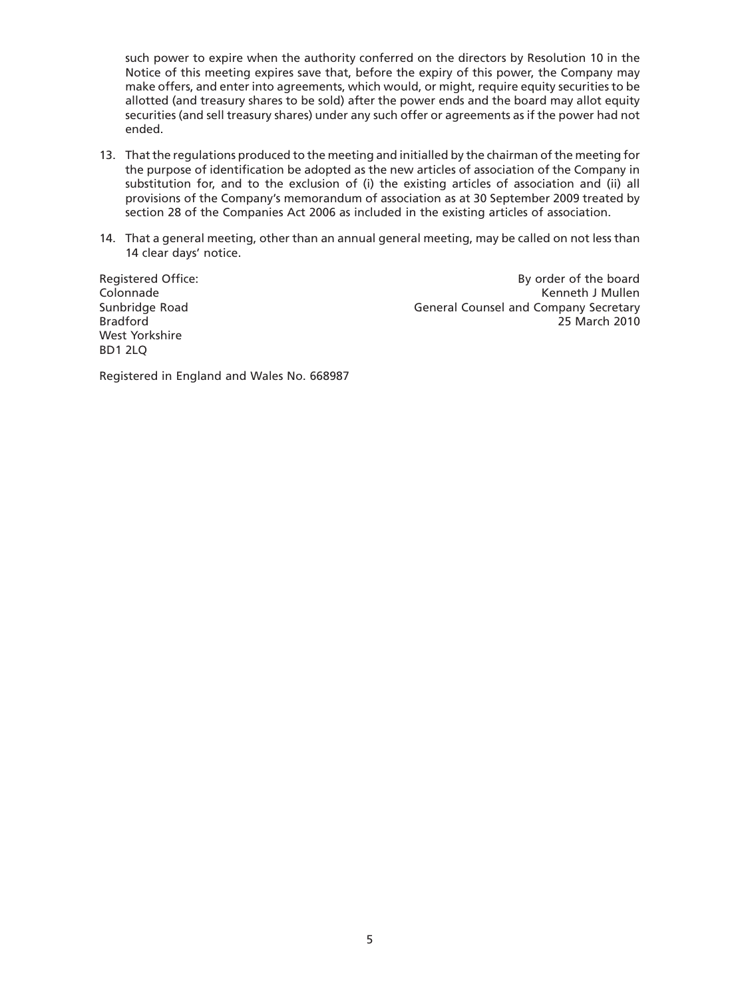such power to expire when the authority conferred on the directors by Resolution 10 in the Notice of this meeting expires save that, before the expiry of this power, the Company may make offers, and enter into agreements, which would, or might, require equity securities to be allotted (and treasury shares to be sold) after the power ends and the board may allot equity securities (and sell treasury shares) under any such offer or agreements as if the power had not ended.

- 13. That the regulations produced to the meeting and initialled by the chairman of the meeting for the purpose of identification be adopted as the new articles of association of the Company in substitution for, and to the exclusion of (i) the existing articles of association and (ii) all provisions of the Company's memorandum of association as at 30 September 2009 treated by section 28 of the Companies Act 2006 as included in the existing articles of association.
- 14. That a general meeting, other than an annual general meeting, may be called on not less than 14 clear days' notice.

Registered Office: Colonnade Sunbridge Road Bradford West Yorkshire BD1 2LQ

By order of the board Kenneth J Mullen General Counsel and Company Secretary 25 March 2010

Registered in England and Wales No. 668987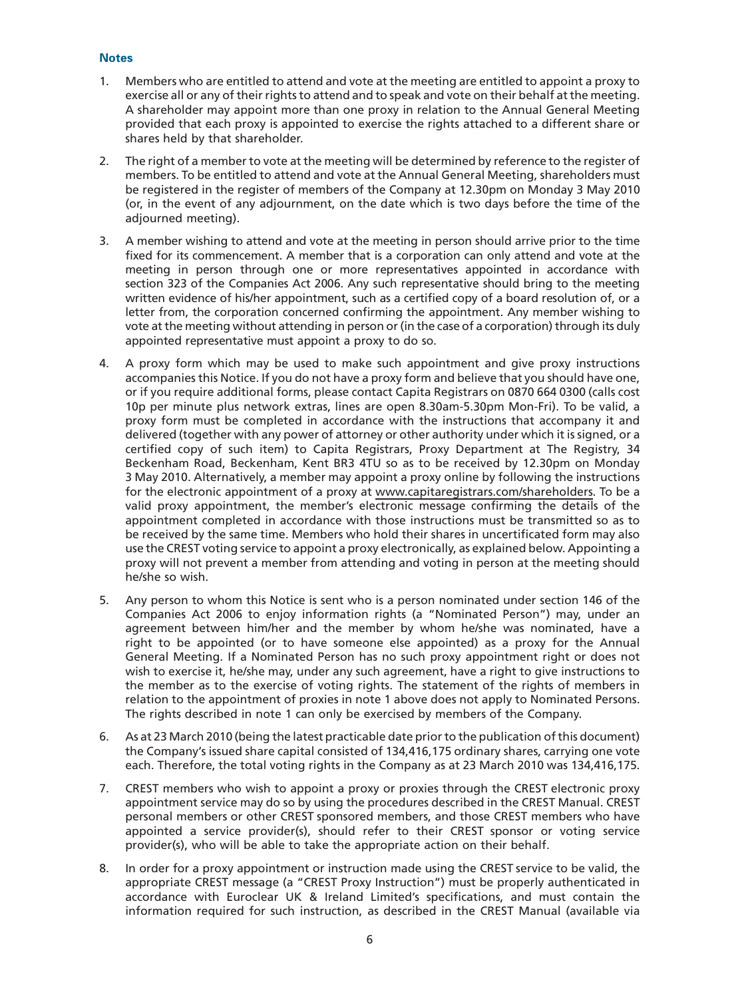# **Notes**

- 1. Members who are entitled to attend and vote at the meeting are entitled to appoint a proxy to exercise all or any of their rights to attend and to speak and vote on their behalf at the meeting. A shareholder may appoint more than one proxy in relation to the Annual General Meeting provided that each proxy is appointed to exercise the rights attached to a different share or shares held by that shareholder.
- 2. The right of a member to vote at the meeting will be determined by reference to the register of members. To be entitled to attend and vote at the Annual General Meeting, shareholders must be registered in the register of members of the Company at 12.30pm on Monday 3 May 2010 (or, in the event of any adjournment, on the date which is two days before the time of the adjourned meeting).
- 3. A member wishing to attend and vote at the meeting in person should arrive prior to the time fixed for its commencement. A member that is a corporation can only attend and vote at the meeting in person through one or more representatives appointed in accordance with section 323 of the Companies Act 2006. Any such representative should bring to the meeting written evidence of his/her appointment, such as a certified copy of a board resolution of, or a letter from, the corporation concerned confirming the appointment. Any member wishing to vote at the meeting without attending in person or (in the case of a corporation) through its duly appointed representative must appoint a proxy to do so.
- 4. A proxy form which may be used to make such appointment and give proxy instructions accompanies this Notice. If you do not have a proxy form and believe that you should have one, or if you require additional forms, please contact Capita Registrars on 0870 664 0300 (calls cost 10p per minute plus network extras, lines are open 8.30am-5.30pm Mon-Fri). To be valid, a proxy form must be completed in accordance with the instructions that accompany it and delivered (together with any power of attorney or other authority under which it is signed, or a certified copy of such item) to Capita Registrars, Proxy Department at The Registry, 34 Beckenham Road, Beckenham, Kent BR3 4TU so as to be received by 12.30pm on Monday 3 May 2010. Alternatively, a member may appoint a proxy online by following the instructions for the electronic appointment of a proxy at www.capitaregistrars.com/shareholders. To be a valid proxy appointment, the member's electronic message confirming the details of the appointment completed in accordance with those instructions must be transmitted so as to be received by the same time. Members who hold their shares in uncertificated form may also use the CREST voting service to appoint a proxy electronically, as explained below. Appointing a proxy will not prevent a member from attending and voting in person at the meeting should he/she so wish.
- 5. Any person to whom this Notice is sent who is a person nominated under section 146 of the Companies Act 2006 to enjoy information rights (a "Nominated Person") may, under an agreement between him/her and the member by whom he/she was nominated, have a right to be appointed (or to have someone else appointed) as a proxy for the Annual General Meeting. If a Nominated Person has no such proxy appointment right or does not wish to exercise it, he/she may, under any such agreement, have a right to give instructions to the member as to the exercise of voting rights. The statement of the rights of members in relation to the appointment of proxies in note 1 above does not apply to Nominated Persons. The rights described in note 1 can only be exercised by members of the Company.
- 6. As at 23 March 2010 (being the latest practicable date prior to the publication of this document) the Company's issued share capital consisted of 134,416,175 ordinary shares, carrying one vote each. Therefore, the total voting rights in the Company as at 23 March 2010 was 134,416,175.
- 7. CREST members who wish to appoint a proxy or proxies through the CREST electronic proxy appointment service may do so by using the procedures described in the CREST Manual. CREST personal members or other CREST sponsored members, and those CREST members who have appointed a service provider(s), should refer to their CREST sponsor or voting service provider(s), who will be able to take the appropriate action on their behalf.
- 8. In order for a proxy appointment or instruction made using the CREST service to be valid, the appropriate CREST message (a "CREST Proxy Instruction") must be properly authenticated in accordance with Euroclear UK & Ireland Limited's specifications, and must contain the information required for such instruction, as described in the CREST Manual (available via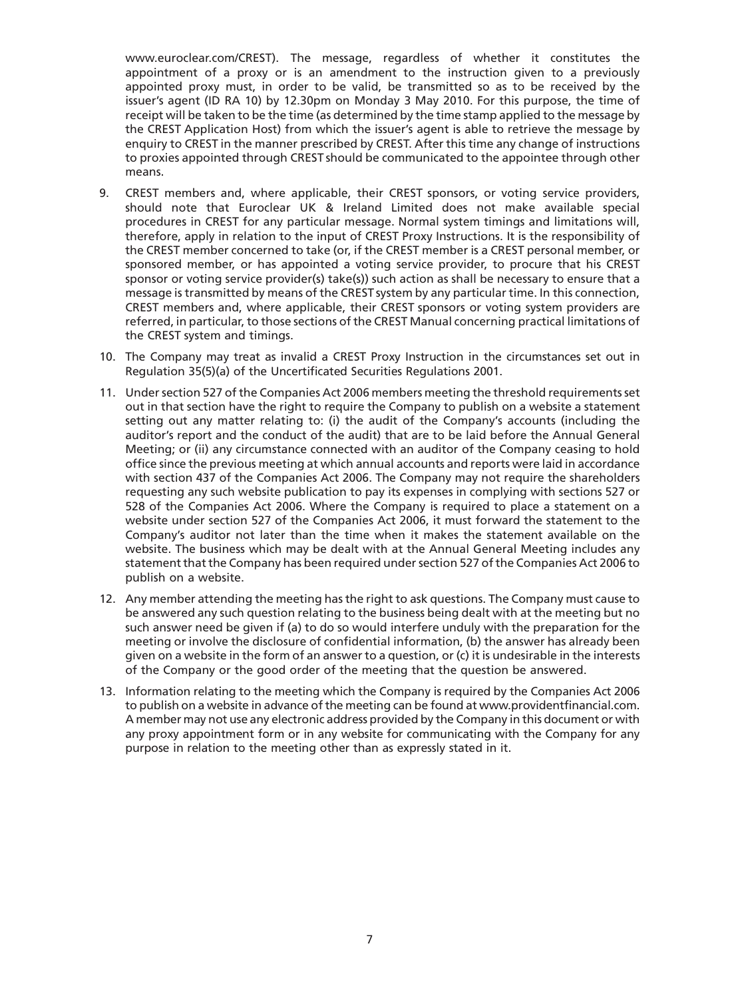www.euroclear.com/CREST). The message, regardless of whether it constitutes the appointment of a proxy or is an amendment to the instruction given to a previously appointed proxy must, in order to be valid, be transmitted so as to be received by the issuer's agent (ID RA 10) by 12.30pm on Monday 3 May 2010. For this purpose, the time of receipt will be taken to be the time (as determined by the time stamp applied to the message by the CREST Application Host) from which the issuer's agent is able to retrieve the message by enquiry to CREST in the manner prescribed by CREST. After this time any change of instructions to proxies appointed through CREST should be communicated to the appointee through other means.

- 9. CREST members and, where applicable, their CREST sponsors, or voting service providers, should note that Euroclear UK & Ireland Limited does not make available special procedures in CREST for any particular message. Normal system timings and limitations will, therefore, apply in relation to the input of CREST Proxy Instructions. It is the responsibility of the CREST member concerned to take (or, if the CREST member is a CREST personal member, or sponsored member, or has appointed a voting service provider, to procure that his CREST sponsor or voting service provider(s) take(s)) such action as shall be necessary to ensure that a message is transmitted by means of the CREST system by any particular time. In this connection, CREST members and, where applicable, their CREST sponsors or voting system providers are referred, in particular, to those sections of the CREST Manual concerning practical limitations of the CREST system and timings.
- 10. The Company may treat as invalid a CREST Proxy Instruction in the circumstances set out in Regulation 35(5)(a) of the Uncertificated Securities Regulations 2001.
- 11. Under section 527 of the Companies Act 2006 members meeting the threshold requirements set out in that section have the right to require the Company to publish on a website a statement setting out any matter relating to: (i) the audit of the Company's accounts (including the auditor's report and the conduct of the audit) that are to be laid before the Annual General Meeting; or (ii) any circumstance connected with an auditor of the Company ceasing to hold office since the previous meeting at which annual accounts and reports were laid in accordance with section 437 of the Companies Act 2006. The Company may not require the shareholders requesting any such website publication to pay its expenses in complying with sections 527 or 528 of the Companies Act 2006. Where the Company is required to place a statement on a website under section 527 of the Companies Act 2006, it must forward the statement to the Company's auditor not later than the time when it makes the statement available on the website. The business which may be dealt with at the Annual General Meeting includes any statement that the Company has been required under section 527 of the Companies Act 2006 to publish on a website.
- 12. Any member attending the meeting has the right to ask questions. The Company must cause to be answered any such question relating to the business being dealt with at the meeting but no such answer need be given if (a) to do so would interfere unduly with the preparation for the meeting or involve the disclosure of confidential information, (b) the answer has already been given on a website in the form of an answer to a question, or (c) it is undesirable in the interests of the Company or the good order of the meeting that the question be answered.
- 13. Information relating to the meeting which the Company is required by the Companies Act 2006 to publish on a website in advance of the meeting can be found at www.providentfinancial.com. A member may not use any electronic address provided by the Company in this document or with any proxy appointment form or in any website for communicating with the Company for any purpose in relation to the meeting other than as expressly stated in it.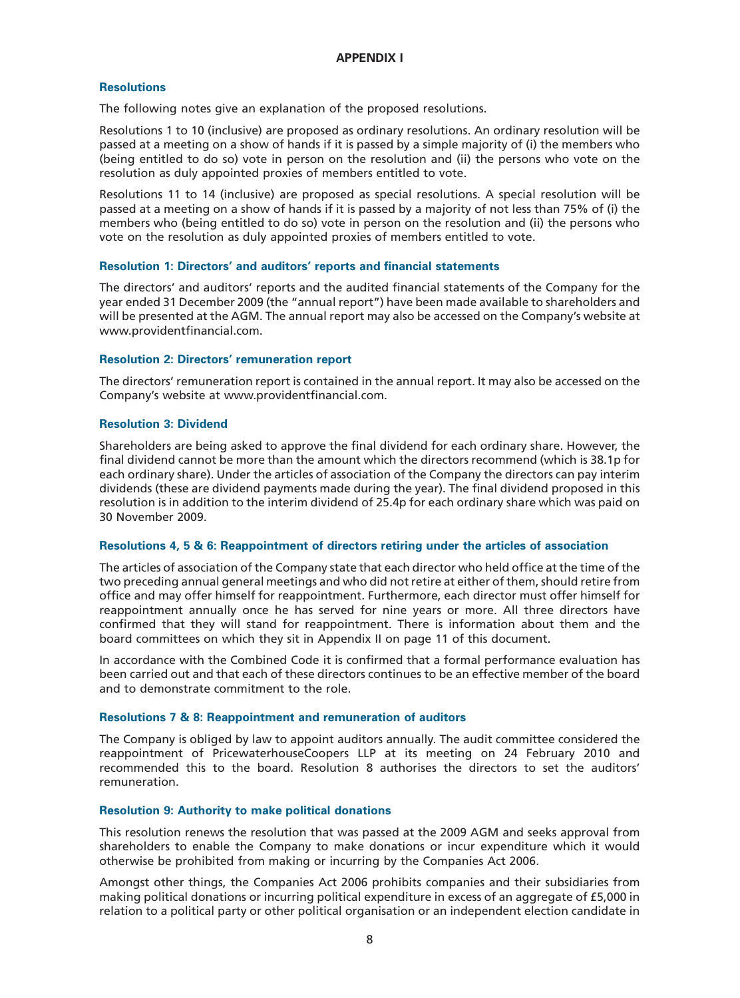# **Resolutions**

The following notes give an explanation of the proposed resolutions.

Resolutions 1 to 10 (inclusive) are proposed as ordinary resolutions. An ordinary resolution will be passed at a meeting on a show of hands if it is passed by a simple majority of (i) the members who (being entitled to do so) vote in person on the resolution and (ii) the persons who vote on the resolution as duly appointed proxies of members entitled to vote.

Resolutions 11 to 14 (inclusive) are proposed as special resolutions. A special resolution will be passed at a meeting on a show of hands if it is passed by a majority of not less than 75% of (i) the members who (being entitled to do so) vote in person on the resolution and (ii) the persons who vote on the resolution as duly appointed proxies of members entitled to vote.

# **Resolution 1: Directors' and auditors' reports and financial statements**

The directors' and auditors' reports and the audited financial statements of the Company for the year ended 31 December 2009 (the "annual report") have been made available to shareholders and will be presented at the AGM. The annual report may also be accessed on the Company's website at www.providentfinancial.com.

# **Resolution 2: Directors' remuneration report**

The directors' remuneration report is contained in the annual report. It may also be accessed on the Company's website at www.providentfinancial.com.

# **Resolution 3: Dividend**

Shareholders are being asked to approve the final dividend for each ordinary share. However, the final dividend cannot be more than the amount which the directors recommend (which is 38.1p for each ordinary share). Under the articles of association of the Company the directors can pay interim dividends (these are dividend payments made during the year). The final dividend proposed in this resolution is in addition to the interim dividend of 25.4p for each ordinary share which was paid on 30 November 2009.

# **Resolutions 4, 5 & 6: Reappointment of directors retiring under the articles of association**

The articles of association of the Company state that each director who held office at the time of the two preceding annual general meetings and who did not retire at either of them, should retire from office and may offer himself for reappointment. Furthermore, each director must offer himself for reappointment annually once he has served for nine years or more. All three directors have confirmed that they will stand for reappointment. There is information about them and the board committees on which they sit in Appendix II on page 11 of this document.

In accordance with the Combined Code it is confirmed that a formal performance evaluation has been carried out and that each of these directors continues to be an effective member of the board and to demonstrate commitment to the role.

# **Resolutions 7 & 8: Reappointment and remuneration of auditors**

The Company is obliged by law to appoint auditors annually. The audit committee considered the reappointment of PricewaterhouseCoopers LLP at its meeting on 24 February 2010 and recommended this to the board. Resolution 8 authorises the directors to set the auditors' remuneration.

# **Resolution 9: Authority to make political donations**

This resolution renews the resolution that was passed at the 2009 AGM and seeks approval from shareholders to enable the Company to make donations or incur expenditure which it would otherwise be prohibited from making or incurring by the Companies Act 2006.

Amongst other things, the Companies Act 2006 prohibits companies and their subsidiaries from making political donations or incurring political expenditure in excess of an aggregate of £5,000 in relation to a political party or other political organisation or an independent election candidate in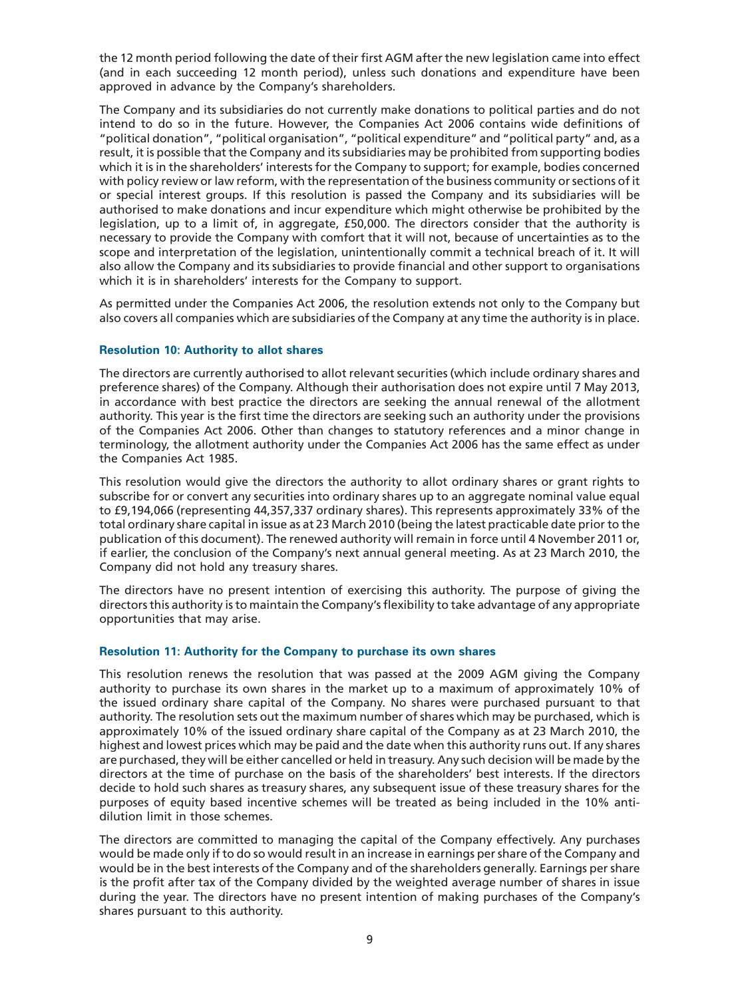the 12 month period following the date of their first AGM after the new legislation came into effect (and in each succeeding 12 month period), unless such donations and expenditure have been approved in advance by the Company's shareholders.

The Company and its subsidiaries do not currently make donations to political parties and do not intend to do so in the future. However, the Companies Act 2006 contains wide definitions of "political donation", "political organisation", "political expenditure" and "political party" and, as a result, it is possible that the Company and its subsidiaries may be prohibited from supporting bodies which it is in the shareholders' interests for the Company to support; for example, bodies concerned with policy review or law reform, with the representation of the business community or sections of it or special interest groups. If this resolution is passed the Company and its subsidiaries will be authorised to make donations and incur expenditure which might otherwise be prohibited by the legislation, up to a limit of, in aggregate, £50,000. The directors consider that the authority is necessary to provide the Company with comfort that it will not, because of uncertainties as to the scope and interpretation of the legislation, unintentionally commit a technical breach of it. It will also allow the Company and its subsidiaries to provide financial and other support to organisations which it is in shareholders' interests for the Company to support.

As permitted under the Companies Act 2006, the resolution extends not only to the Company but also covers all companies which are subsidiaries of the Company at any time the authority is in place.

# **Resolution 10: Authority to allot shares**

The directors are currently authorised to allot relevant securities (which include ordinary shares and preference shares) of the Company. Although their authorisation does not expire until 7 May 2013, in accordance with best practice the directors are seeking the annual renewal of the allotment authority. This year is the first time the directors are seeking such an authority under the provisions of the Companies Act 2006. Other than changes to statutory references and a minor change in terminology, the allotment authority under the Companies Act 2006 has the same effect as under the Companies Act 1985.

This resolution would give the directors the authority to allot ordinary shares or grant rights to subscribe for or convert any securities into ordinary shares up to an aggregate nominal value equal to £9,194,066 (representing 44,357,337 ordinary shares). This represents approximately 33% of the total ordinary share capital in issue as at 23 March 2010 (being the latest practicable date prior to the publication of this document). The renewed authority will remain in force until 4 November 2011 or, if earlier, the conclusion of the Company's next annual general meeting. As at 23 March 2010, the Company did not hold any treasury shares.

The directors have no present intention of exercising this authority. The purpose of giving the directors this authority is to maintain the Company's flexibility to take advantage of any appropriate opportunities that may arise.

# **Resolution 11: Authority for the Company to purchase its own shares**

This resolution renews the resolution that was passed at the 2009 AGM giving the Company authority to purchase its own shares in the market up to a maximum of approximately 10% of the issued ordinary share capital of the Company. No shares were purchased pursuant to that authority. The resolution sets out the maximum number of shares which may be purchased, which is approximately 10% of the issued ordinary share capital of the Company as at 23 March 2010, the highest and lowest prices which may be paid and the date when this authority runs out. If any shares are purchased, they will be either cancelled or held in treasury. Any such decision will be made by the directors at the time of purchase on the basis of the shareholders' best interests. If the directors decide to hold such shares as treasury shares, any subsequent issue of these treasury shares for the purposes of equity based incentive schemes will be treated as being included in the 10% antidilution limit in those schemes.

The directors are committed to managing the capital of the Company effectively. Any purchases would be made only if to do so would result in an increase in earnings per share of the Company and would be in the best interests of the Company and of the shareholders generally. Earnings per share is the profit after tax of the Company divided by the weighted average number of shares in issue during the year. The directors have no present intention of making purchases of the Company's shares pursuant to this authority.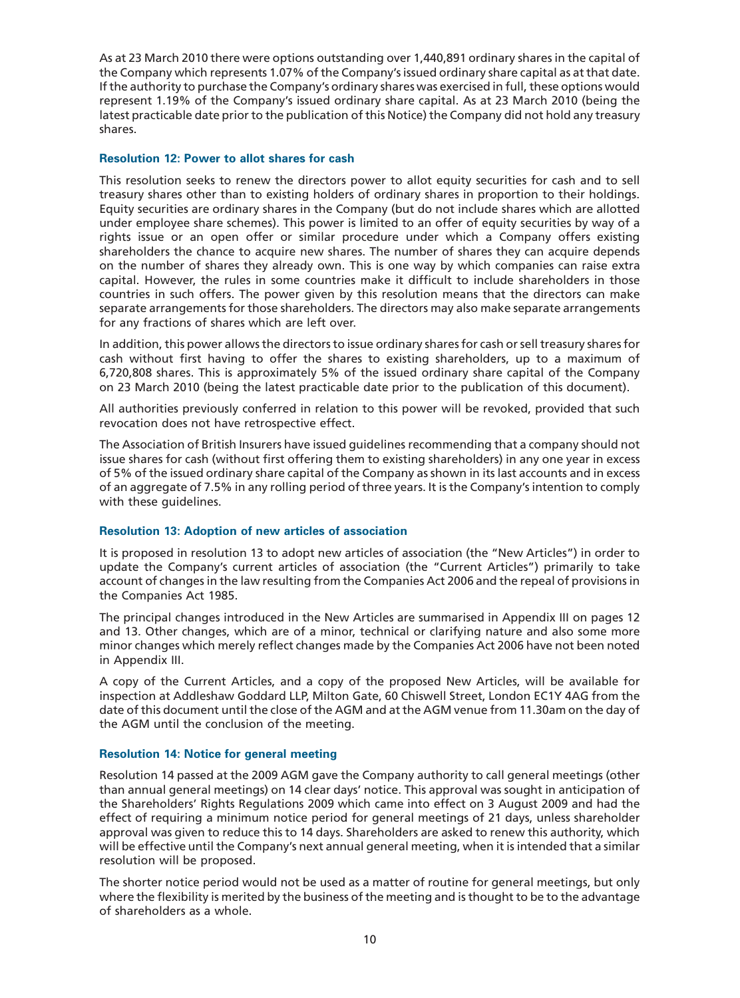As at 23 March 2010 there were options outstanding over 1,440,891 ordinary shares in the capital of the Company which represents 1.07% of the Company's issued ordinary share capital as at that date. If the authority to purchase the Company's ordinary shares was exercised in full, these options would represent 1.19% of the Company's issued ordinary share capital. As at 23 March 2010 (being the latest practicable date prior to the publication of this Notice) the Company did not hold any treasury shares.

# **Resolution 12: Power to allot shares for cash**

This resolution seeks to renew the directors power to allot equity securities for cash and to sell treasury shares other than to existing holders of ordinary shares in proportion to their holdings. Equity securities are ordinary shares in the Company (but do not include shares which are allotted under employee share schemes). This power is limited to an offer of equity securities by way of a rights issue or an open offer or similar procedure under which a Company offers existing shareholders the chance to acquire new shares. The number of shares they can acquire depends on the number of shares they already own. This is one way by which companies can raise extra capital. However, the rules in some countries make it difficult to include shareholders in those countries in such offers. The power given by this resolution means that the directors can make separate arrangements for those shareholders. The directors may also make separate arrangements for any fractions of shares which are left over.

In addition, this power allows the directors to issue ordinary shares for cash or sell treasury shares for cash without first having to offer the shares to existing shareholders, up to a maximum of 6,720,808 shares. This is approximately 5% of the issued ordinary share capital of the Company on 23 March 2010 (being the latest practicable date prior to the publication of this document).

All authorities previously conferred in relation to this power will be revoked, provided that such revocation does not have retrospective effect.

The Association of British Insurers have issued guidelines recommending that a company should not issue shares for cash (without first offering them to existing shareholders) in any one year in excess of 5% of the issued ordinary share capital of the Company as shown in its last accounts and in excess of an aggregate of 7.5% in any rolling period of three years. It is the Company's intention to comply with these guidelines.

# **Resolution 13: Adoption of new articles of association**

It is proposed in resolution 13 to adopt new articles of association (the "New Articles") in order to update the Company's current articles of association (the "Current Articles") primarily to take account of changes in the law resulting from the Companies Act 2006 and the repeal of provisions in the Companies Act 1985.

The principal changes introduced in the New Articles are summarised in Appendix III on pages 12 and 13. Other changes, which are of a minor, technical or clarifying nature and also some more minor changes which merely reflect changes made by the Companies Act 2006 have not been noted in Appendix III.

A copy of the Current Articles, and a copy of the proposed New Articles, will be available for inspection at Addleshaw Goddard LLP, Milton Gate, 60 Chiswell Street, London EC1Y 4AG from the date of this document until the close of the AGM and at the AGM venue from 11.30am on the day of the AGM until the conclusion of the meeting.

# **Resolution 14: Notice for general meeting**

Resolution 14 passed at the 2009 AGM gave the Company authority to call general meetings (other than annual general meetings) on 14 clear days' notice. This approval was sought in anticipation of the Shareholders' Rights Regulations 2009 which came into effect on 3 August 2009 and had the effect of requiring a minimum notice period for general meetings of 21 days, unless shareholder approval was given to reduce this to 14 days. Shareholders are asked to renew this authority, which will be effective until the Company's next annual general meeting, when it is intended that a similar resolution will be proposed.

The shorter notice period would not be used as a matter of routine for general meetings, but only where the flexibility is merited by the business of the meeting and is thought to be to the advantage of shareholders as a whole.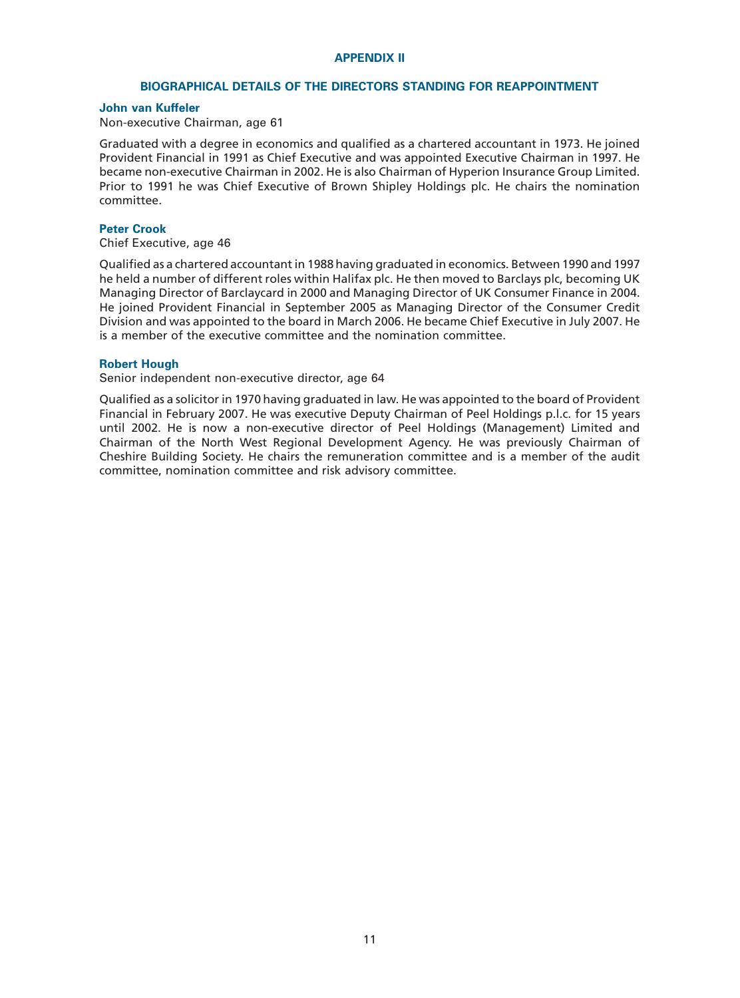# **APPENDIX II**

# **BIOGRAPHICAL DETAILS OF THE DIRECTORS STANDING FOR REAPPOINTMENT**

# **John van Kuffeler**

Non-executive Chairman, age 61

Graduated with a degree in economics and qualified as a chartered accountant in 1973. He joined Provident Financial in 1991 as Chief Executive and was appointed Executive Chairman in 1997. He became non-executive Chairman in 2002. He is also Chairman of Hyperion Insurance Group Limited. Prior to 1991 he was Chief Executive of Brown Shipley Holdings plc. He chairs the nomination committee.

#### **Peter Crook**

Chief Executive, age 46

Qualified as a chartered accountant in 1988 having graduated in economics. Between 1990 and 1997 he held a number of different roles within Halifax plc. He then moved to Barclays plc, becoming UK Managing Director of Barclaycard in 2000 and Managing Director of UK Consumer Finance in 2004. He joined Provident Financial in September 2005 as Managing Director of the Consumer Credit Division and was appointed to the board in March 2006. He became Chief Executive in July 2007. He is a member of the executive committee and the nomination committee.

# **Robert Hough**

Senior independent non-executive director, age 64

Qualified as a solicitor in 1970 having graduated in law. He was appointed to the board of Provident Financial in February 2007. He was executive Deputy Chairman of Peel Holdings p.l.c. for 15 years until 2002. He is now a non-executive director of Peel Holdings (Management) Limited and Chairman of the North West Regional Development Agency. He was previously Chairman of Cheshire Building Society. He chairs the remuneration committee and is a member of the audit committee, nomination committee and risk advisory committee.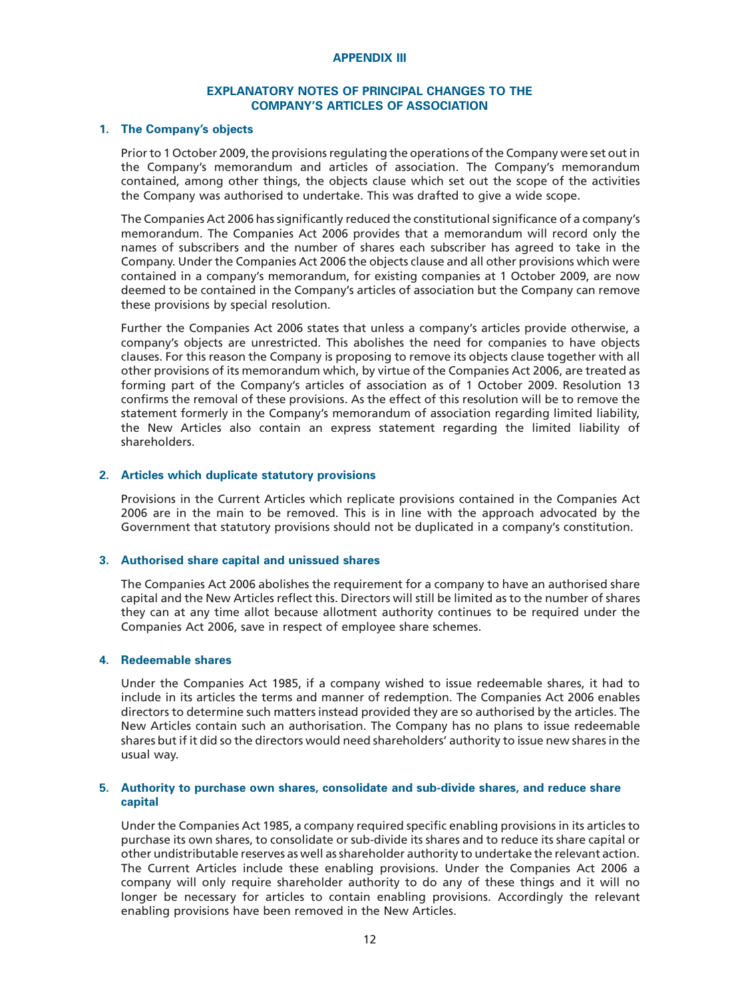# **APPENDIX III**

# **EXPLANATORY NOTES OF PRINCIPAL CHANGES TO THE COMPANY'S ARTICLES OF ASSOCIATION**

# **1. The Company's objects**

Prior to 1 October 2009, the provisions regulating the operations of the Company were set out in the Company's memorandum and articles of association. The Company's memorandum contained, among other things, the objects clause which set out the scope of the activities the Company was authorised to undertake. This was drafted to give a wide scope.

The Companies Act 2006 has significantly reduced the constitutional significance of a company's memorandum. The Companies Act 2006 provides that a memorandum will record only the names of subscribers and the number of shares each subscriber has agreed to take in the Company. Under the Companies Act 2006 the objects clause and all other provisions which were contained in a company's memorandum, for existing companies at 1 October 2009, are now deemed to be contained in the Company's articles of association but the Company can remove these provisions by special resolution.

Further the Companies Act 2006 states that unless a company's articles provide otherwise, a company's objects are unrestricted. This abolishes the need for companies to have objects clauses. For this reason the Company is proposing to remove its objects clause together with all other provisions of its memorandum which, by virtue of the Companies Act 2006, are treated as forming part of the Company's articles of association as of 1 October 2009. Resolution 13 confirms the removal of these provisions. As the effect of this resolution will be to remove the statement formerly in the Company's memorandum of association regarding limited liability, the New Articles also contain an express statement regarding the limited liability of shareholders.

# **2. Articles which duplicate statutory provisions**

Provisions in the Current Articles which replicate provisions contained in the Companies Act 2006 are in the main to be removed. This is in line with the approach advocated by the Government that statutory provisions should not be duplicated in a company's constitution.

# **3. Authorised share capital and unissued shares**

The Companies Act 2006 abolishes the requirement for a company to have an authorised share capital and the New Articles reflect this. Directors will still be limited as to the number of shares they can at any time allot because allotment authority continues to be required under the Companies Act 2006, save in respect of employee share schemes.

# **4. Redeemable shares**

Under the Companies Act 1985, if a company wished to issue redeemable shares, it had to include in its articles the terms and manner of redemption. The Companies Act 2006 enables directors to determine such matters instead provided they are so authorised by the articles. The New Articles contain such an authorisation. The Company has no plans to issue redeemable shares but if it did so the directors would need shareholders' authority to issue new shares in the usual way.

# **5. Authority to purchase own shares, consolidate and sub-divide shares, and reduce share capital**

Under the Companies Act 1985, a company required specific enabling provisions in its articles to purchase its own shares, to consolidate or sub-divide its shares and to reduce its share capital or other undistributable reserves as well as shareholder authority to undertake the relevant action. The Current Articles include these enabling provisions. Under the Companies Act 2006 a company will only require shareholder authority to do any of these things and it will no longer be necessary for articles to contain enabling provisions. Accordingly the relevant enabling provisions have been removed in the New Articles.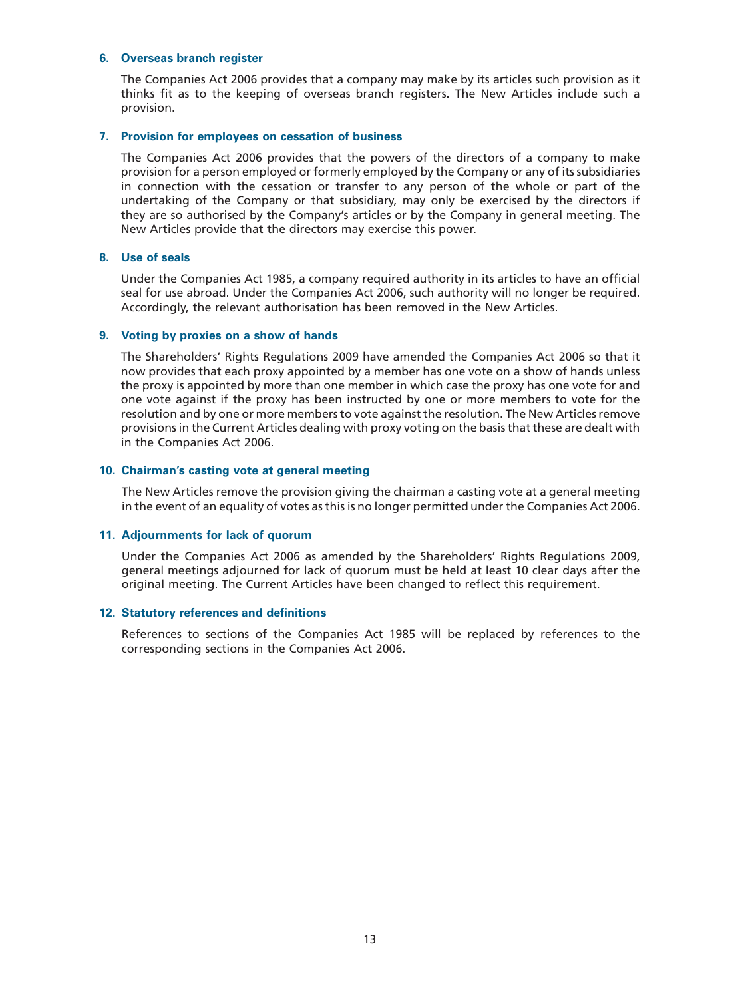#### **6. Overseas branch register**

The Companies Act 2006 provides that a company may make by its articles such provision as it thinks fit as to the keeping of overseas branch registers. The New Articles include such a provision.

#### **7. Provision for employees on cessation of business**

The Companies Act 2006 provides that the powers of the directors of a company to make provision for a person employed or formerly employed by the Company or any of its subsidiaries in connection with the cessation or transfer to any person of the whole or part of the undertaking of the Company or that subsidiary, may only be exercised by the directors if they are so authorised by the Company's articles or by the Company in general meeting. The New Articles provide that the directors may exercise this power.

#### **8. Use of seals**

Under the Companies Act 1985, a company required authority in its articles to have an official seal for use abroad. Under the Companies Act 2006, such authority will no longer be required. Accordingly, the relevant authorisation has been removed in the New Articles.

#### **9. Voting by proxies on a show of hands**

The Shareholders' Rights Regulations 2009 have amended the Companies Act 2006 so that it now provides that each proxy appointed by a member has one vote on a show of hands unless the proxy is appointed by more than one member in which case the proxy has one vote for and one vote against if the proxy has been instructed by one or more members to vote for the resolution and by one or more members to vote against the resolution. The New Articles remove provisions in the Current Articles dealing with proxy voting on the basis that these are dealt with in the Companies Act 2006.

#### **10. Chairman's casting vote at general meeting**

The New Articles remove the provision giving the chairman a casting vote at a general meeting in the event of an equality of votes as this is no longer permitted under the Companies Act 2006.

#### **11. Adjournments for lack of quorum**

Under the Companies Act 2006 as amended by the Shareholders' Rights Regulations 2009, general meetings adjourned for lack of quorum must be held at least 10 clear days after the original meeting. The Current Articles have been changed to reflect this requirement.

#### **12. Statutory references and definitions**

References to sections of the Companies Act 1985 will be replaced by references to the corresponding sections in the Companies Act 2006.